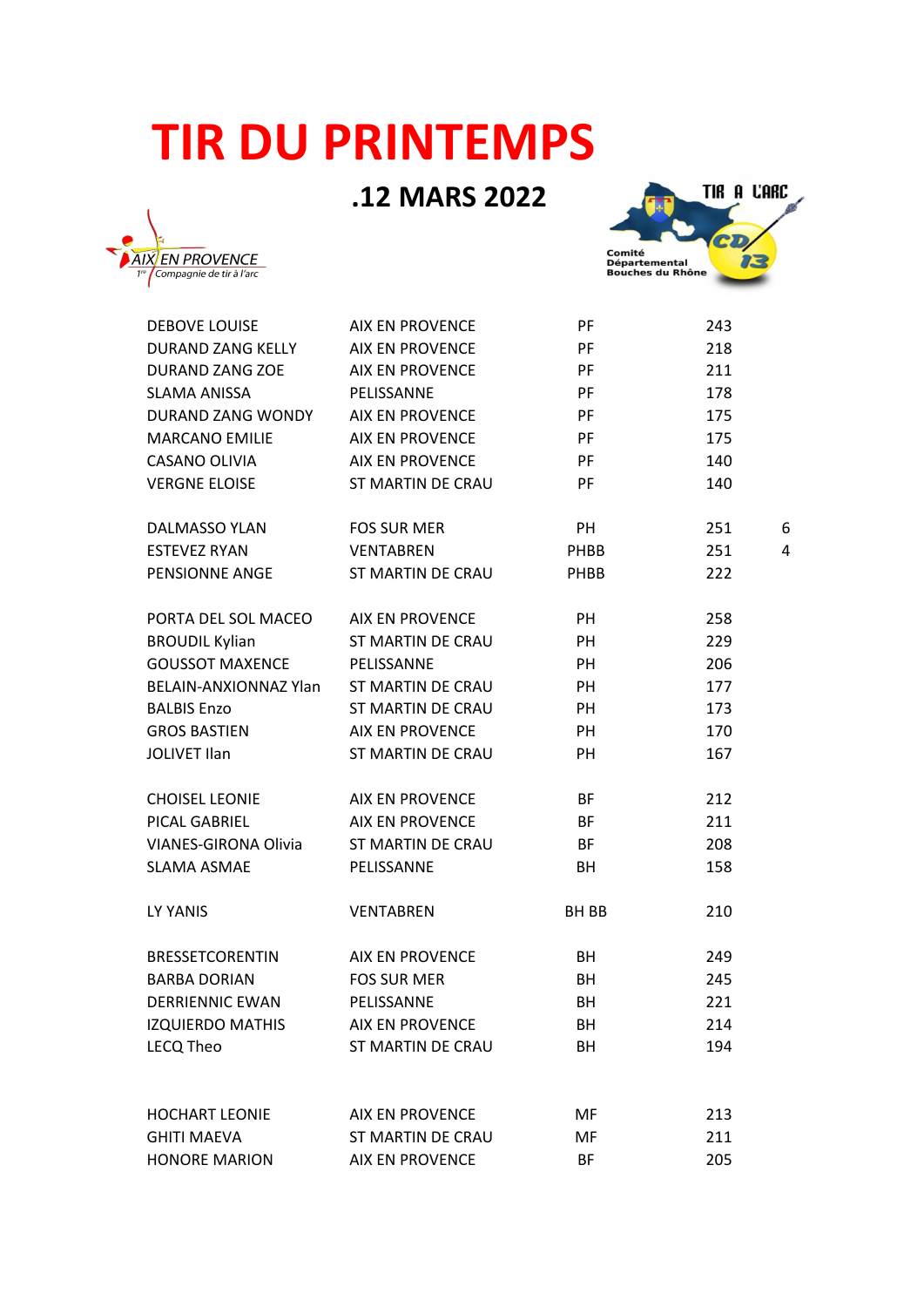## **TIR DU PRINTEMPS**

## .12 MARS 2022





| <b>DEBOVE LOUISE</b>        | <b>AIX EN PROVENCE</b>   | PF          | 243 |   |
|-----------------------------|--------------------------|-------------|-----|---|
| DURAND ZANG KELLY           | <b>AIX EN PROVENCE</b>   | PF          | 218 |   |
| <b>DURAND ZANG ZOE</b>      | <b>AIX EN PROVENCE</b>   | PF          | 211 |   |
| <b>SLAMA ANISSA</b>         | PELISSANNE               | PF          | 178 |   |
| DURAND ZANG WONDY           | <b>AIX EN PROVENCE</b>   | PF          | 175 |   |
| <b>MARCANO EMILIE</b>       | <b>AIX EN PROVENCE</b>   | PF          | 175 |   |
| CASANO OLIVIA               | <b>AIX EN PROVENCE</b>   | PF          | 140 |   |
| <b>VERGNE ELOISE</b>        | <b>ST MARTIN DE CRAU</b> | PF          | 140 |   |
|                             |                          |             |     |   |
| <b>DALMASSO YLAN</b>        | <b>FOS SUR MER</b>       | <b>PH</b>   | 251 | 6 |
| <b>ESTEVEZ RYAN</b>         | <b>VENTABREN</b>         | PHBB        | 251 | 4 |
| PENSIONNE ANGE              | ST MARTIN DE CRAU        | <b>PHBB</b> | 222 |   |
|                             |                          |             |     |   |
| PORTA DEL SOL MACEO         | <b>AIX EN PROVENCE</b>   | PH          | 258 |   |
| <b>BROUDIL Kylian</b>       | ST MARTIN DE CRAU        | PH          | 229 |   |
| <b>GOUSSOT MAXENCE</b>      | PELISSANNE               | PH          | 206 |   |
| BELAIN-ANXIONNAZ Ylan       | <b>ST MARTIN DE CRAU</b> | PH          | 177 |   |
| <b>BALBIS Enzo</b>          | <b>ST MARTIN DE CRAU</b> | PH          | 173 |   |
| <b>GROS BASTIEN</b>         | <b>AIX EN PROVENCE</b>   | PH          | 170 |   |
| <b>JOLIVET Ilan</b>         | <b>ST MARTIN DE CRAU</b> | PH          | 167 |   |
|                             |                          |             |     |   |
| <b>CHOISEL LEONIE</b>       | <b>AIX EN PROVENCE</b>   | BF          | 212 |   |
| PICAL GABRIEL               | <b>AIX EN PROVENCE</b>   | <b>BF</b>   | 211 |   |
| <b>VIANES-GIRONA Olivia</b> | ST MARTIN DE CRAU        | BF          | 208 |   |
| <b>SLAMA ASMAE</b>          | PELISSANNE               | BH          | 158 |   |
|                             |                          |             |     |   |
| LY YANIS                    | <b>VENTABREN</b>         | BH BB       | 210 |   |
|                             |                          |             |     |   |
| <b>BRESSETCORENTIN</b>      | <b>AIX EN PROVENCE</b>   | BH          | 249 |   |
| <b>BARBA DORIAN</b>         | <b>FOS SUR MER</b>       | BH          | 245 |   |
| <b>DERRIENNIC EWAN</b>      | PELISSANNE               | <b>BH</b>   | 221 |   |
| <b>IZQUIERDO MATHIS</b>     | <b>AIX EN PROVENCE</b>   | BH          | 214 |   |
| <b>LECQ Theo</b>            | <b>ST MARTIN DE CRAU</b> | BH          | 194 |   |
|                             |                          |             |     |   |
|                             |                          |             |     |   |
| <b>HOCHART LEONIE</b>       | <b>AIX EN PROVENCE</b>   | MF          | 213 |   |
| <b>GHITI MAEVA</b>          | ST MARTIN DE CRAU        | MF          | 211 |   |
| <b>HONORE MARION</b>        | <b>AIX EN PROVENCE</b>   | <b>BF</b>   | 205 |   |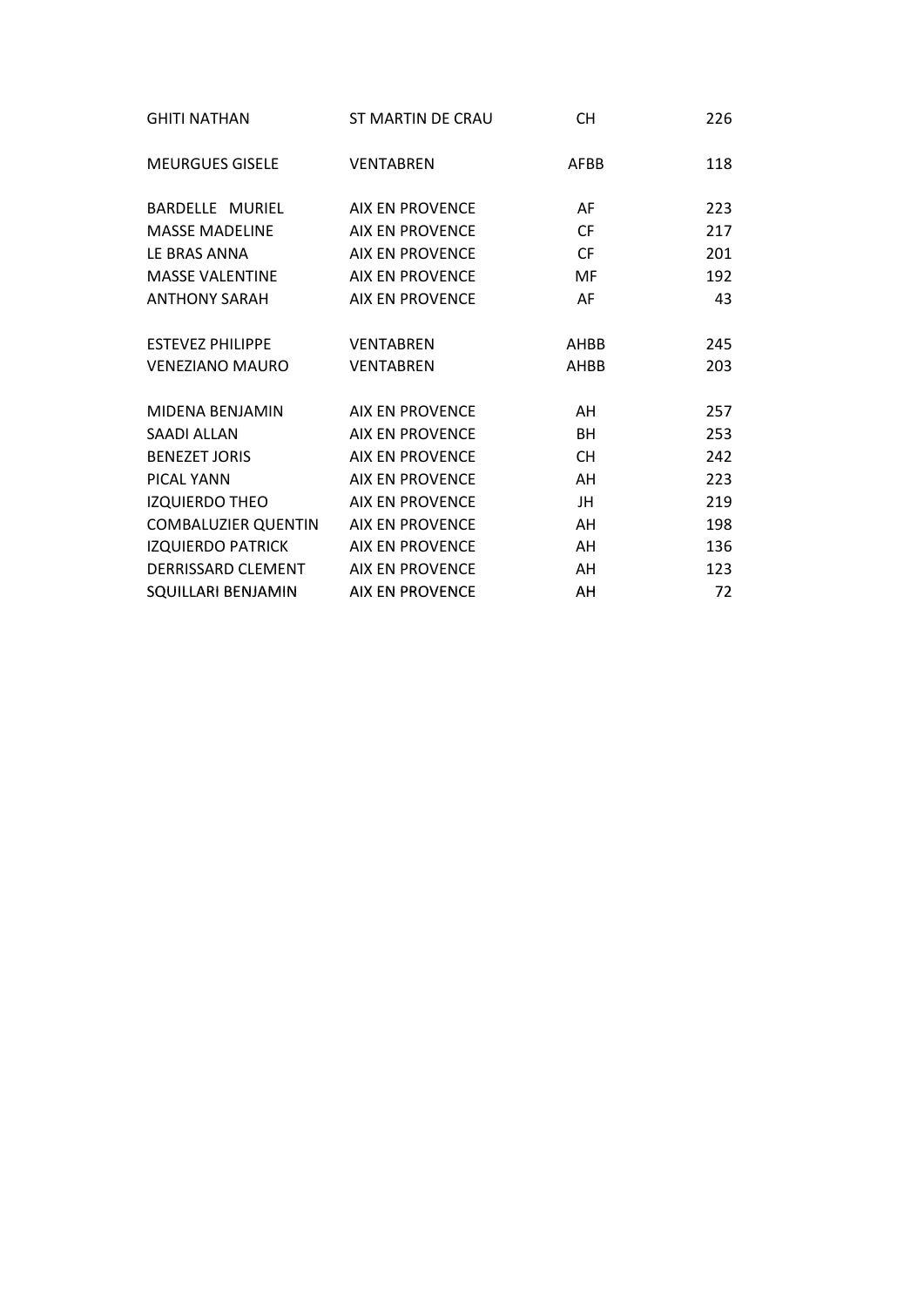| <b>GHITI NATHAN</b>                 | ST MARTIN DE CRAU      | <b>CH</b> | 226 |
|-------------------------------------|------------------------|-----------|-----|
| <b>MEURGUES GISELE</b>              | <b>VENTABREN</b>       | AFBB      | 118 |
| BARDELLE MURIEL                     | AIX EN PROVENCE        | AF        | 223 |
| <b>MASSE MADELINE</b>               | <b>AIX EN PROVENCE</b> | <b>CF</b> | 217 |
| LE BRAS ANNA                        | <b>AIX EN PROVENCE</b> | <b>CF</b> | 201 |
| <b>MASSE VALENTINE</b>              | <b>AIX EN PROVENCE</b> | <b>MF</b> | 192 |
| <b>ANTHONY SARAH</b>                | AIX EN PROVENCE        | AF        | 43  |
| <b>ESTEVEZ PHILIPPE</b>             | <b>VENTABREN</b>       | AHBB      | 245 |
| <b>VENEZIANO MAURO</b>              | <b>VENTABREN</b>       | AHBB      | 203 |
| MIDENA BENJAMIN                     | <b>AIX EN PROVENCE</b> | AH        | 257 |
| <b>SAADI ALLAN</b>                  | <b>AIX EN PROVENCE</b> | BH        | 253 |
| <b>BENEZET JORIS</b>                | <b>AIX EN PROVENCE</b> | <b>CH</b> | 242 |
| PICAL YANN                          | <b>AIX EN PROVENCE</b> | AH        | 223 |
| <b>IZQUIERDO THEO</b>               | <b>AIX EN PROVENCE</b> | JH        | 219 |
| COMBALUZIER QUENTIN AIX EN PROVENCE |                        | AH        | 198 |
| IZQUIERDO PATRICK                   | <b>AIX EN PROVENCE</b> | AH        | 136 |
| DERRISSARD CLEMENT                  | <b>AIX EN PROVENCE</b> | AH        | 123 |
| SQUILLARI BENJAMIN                  | <b>AIX EN PROVENCE</b> | AH        | 72  |